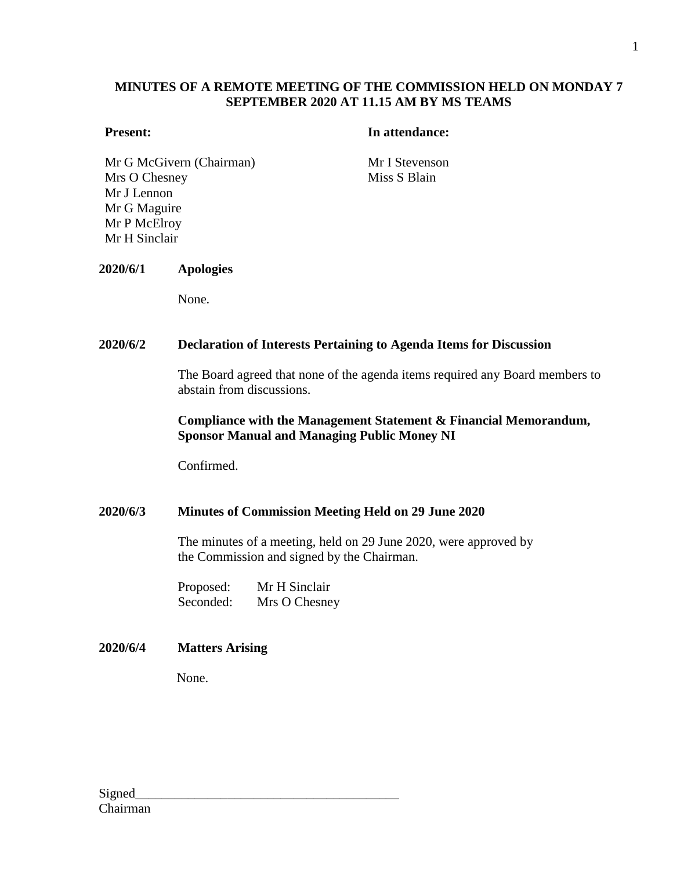# **MINUTES OF A REMOTE MEETING OF THE COMMISSION HELD ON MONDAY 7 SEPTEMBER 2020 AT 11.15 AM BY MS TEAMS**

## **Present: In attendance:**

Mr G McGivern (Chairman) Mr I Stevenson Mrs O Chesney Mr J Lennon Mr G Maguire Mr P McElroy Mr H Sinclair

Miss S Blain

#### **2020/6/1 Apologies**

None.

### **2020/6/2 Declaration of Interests Pertaining to Agenda Items for Discussion**

The Board agreed that none of the agenda items required any Board members to abstain from discussions.

## **Compliance with the Management Statement & Financial Memorandum, Sponsor Manual and Managing Public Money NI**

Confirmed.

#### **2020/6/3 Minutes of Commission Meeting Held on 29 June 2020**

The minutes of a meeting, held on 29 June 2020, were approved by the Commission and signed by the Chairman.

| Proposed: | Mr H Sinclair |
|-----------|---------------|
| Seconded: | Mrs O Chesney |

#### **2020/6/4 Matters Arising**

None.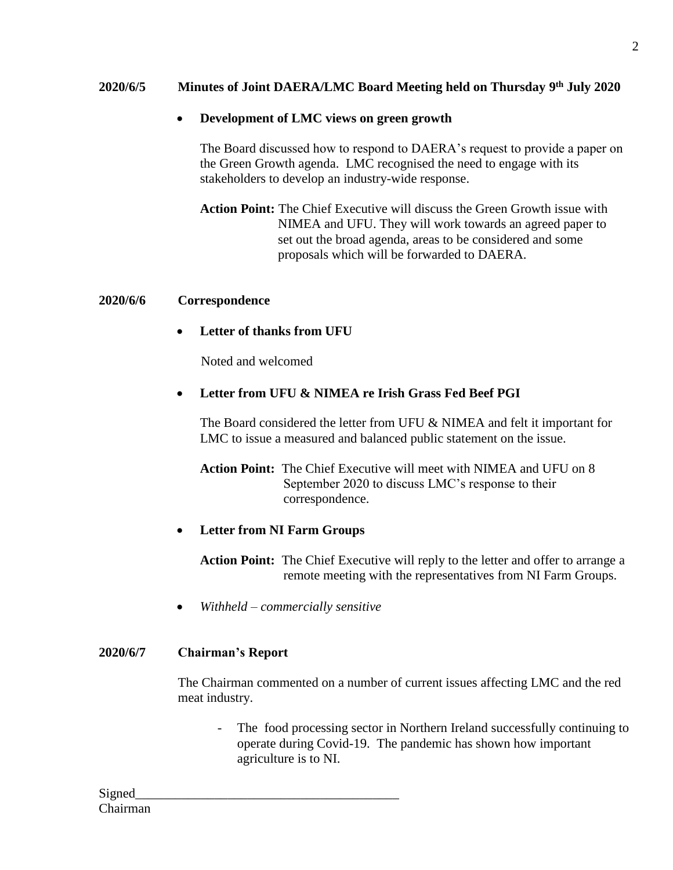# **2020/6/5 Minutes of Joint DAERA/LMC Board Meeting held on Thursday 9 th July 2020**

# **Development of LMC views on green growth**

The Board discussed how to respond to DAERA's request to provide a paper on the Green Growth agenda. LMC recognised the need to engage with its stakeholders to develop an industry-wide response.

**Action Point:** The Chief Executive will discuss the Green Growth issue with NIMEA and UFU. They will work towards an agreed paper to set out the broad agenda, areas to be considered and some proposals which will be forwarded to DAERA.

#### **2020/6/6 Correspondence**

# **Letter of thanks from UFU**

Noted and welcomed

# **Letter from UFU & NIMEA re Irish Grass Fed Beef PGI**

The Board considered the letter from UFU & NIMEA and felt it important for LMC to issue a measured and balanced public statement on the issue.

**Action Point:** The Chief Executive will meet with NIMEA and UFU on 8 September 2020 to discuss LMC's response to their correspondence.

#### **Letter from NI Farm Groups**

**Action Point:** The Chief Executive will reply to the letter and offer to arrange a remote meeting with the representatives from NI Farm Groups.

*Withheld – commercially sensitive*

#### **2020/6/7 Chairman's Report**

The Chairman commented on a number of current issues affecting LMC and the red meat industry.

The food processing sector in Northern Ireland successfully continuing to operate during Covid-19. The pandemic has shown how important agriculture is to NI.

2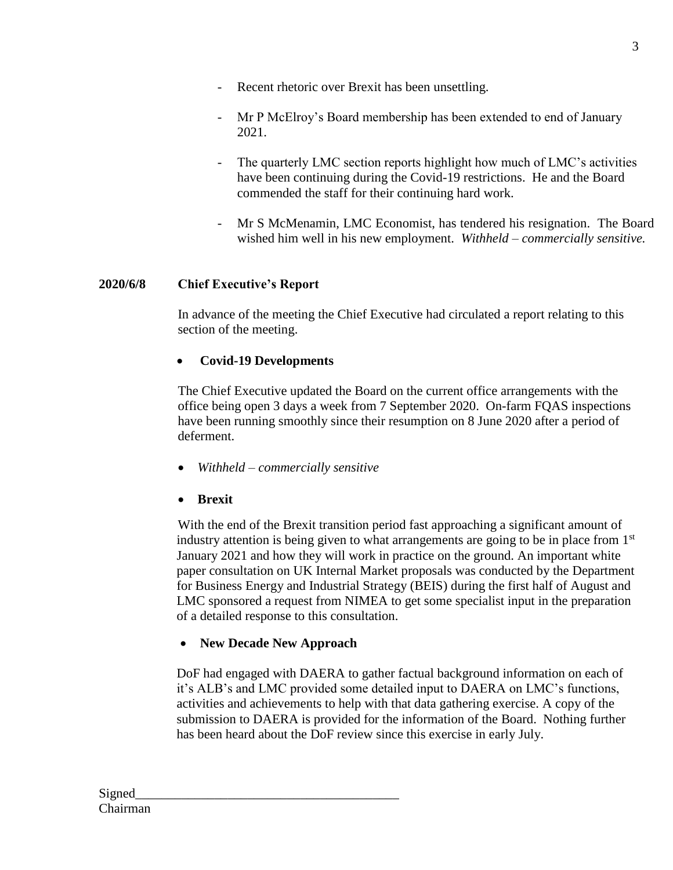- Recent rhetoric over Brexit has been unsettling.
- Mr P McElroy's Board membership has been extended to end of January 2021.
- The quarterly LMC section reports highlight how much of LMC's activities have been continuing during the Covid-19 restrictions. He and the Board commended the staff for their continuing hard work.
- Mr S McMenamin, LMC Economist, has tendered his resignation. The Board wished him well in his new employment. *Withheld – commercially sensitive.*

# **2020/6/8 Chief Executive's Report**

In advance of the meeting the Chief Executive had circulated a report relating to this section of the meeting.

# **Covid-19 Developments**

The Chief Executive updated the Board on the current office arrangements with the office being open 3 days a week from 7 September 2020. On-farm FQAS inspections have been running smoothly since their resumption on 8 June 2020 after a period of deferment.

*Withheld – commercially sensitive*

# **Brexit**

With the end of the Brexit transition period fast approaching a significant amount of industry attention is being given to what arrangements are going to be in place from  $1<sup>st</sup>$ January 2021 and how they will work in practice on the ground. An important white paper consultation on UK Internal Market proposals was conducted by the Department for Business Energy and Industrial Strategy (BEIS) during the first half of August and LMC sponsored a request from NIMEA to get some specialist input in the preparation of a detailed response to this consultation.

# **New Decade New Approach**

DoF had engaged with DAERA to gather factual background information on each of it's ALB's and LMC provided some detailed input to DAERA on LMC's functions, activities and achievements to help with that data gathering exercise. A copy of the submission to DAERA is provided for the information of the Board. Nothing further has been heard about the DoF review since this exercise in early July.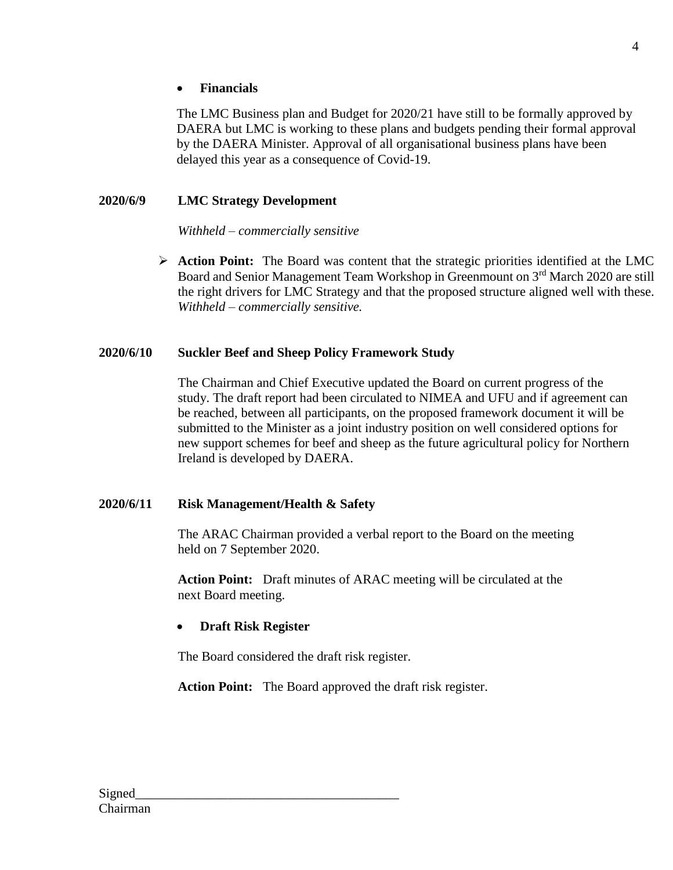# **Financials**

The LMC Business plan and Budget for 2020/21 have still to be formally approved by DAERA but LMC is working to these plans and budgets pending their formal approval by the DAERA Minister. Approval of all organisational business plans have been delayed this year as a consequence of Covid-19.

# **2020/6/9 LMC Strategy Development**

#### *Withheld – commercially sensitive*

 **Action Point:** The Board was content that the strategic priorities identified at the LMC Board and Senior Management Team Workshop in Greenmount on 3<sup>rd</sup> March 2020 are still the right drivers for LMC Strategy and that the proposed structure aligned well with these. *Withheld – commercially sensitive.*

#### **2020/6/10 Suckler Beef and Sheep Policy Framework Study**

The Chairman and Chief Executive updated the Board on current progress of the study. The draft report had been circulated to NIMEA and UFU and if agreement can be reached, between all participants, on the proposed framework document it will be submitted to the Minister as a joint industry position on well considered options for new support schemes for beef and sheep as the future agricultural policy for Northern Ireland is developed by DAERA.

#### **2020/6/11 Risk Management/Health & Safety**

The ARAC Chairman provided a verbal report to the Board on the meeting held on 7 September 2020.

**Action Point:** Draft minutes of ARAC meeting will be circulated at the next Board meeting.

#### **Draft Risk Register**

The Board considered the draft risk register.

**Action Point:** The Board approved the draft risk register.